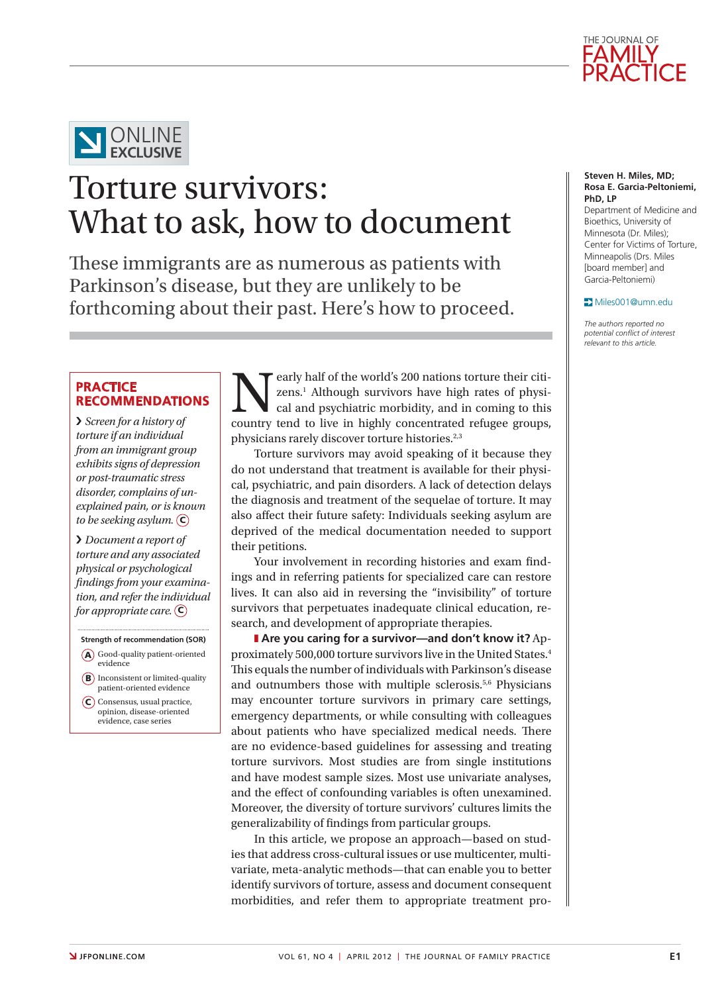



# Torture survivors: What to ask, how to document

These immigrants are as numerous as patients with Parkinson's disease, but they are unlikely to be forthcoming about their past. Here's how to proceed.

# **Practice recommendations**

› *Screen for a history of torture if an individual from an immigrant group exhibits signs of depression or post-traumatic stress disorder, complains of unexplained pain, or is known to be seeking asylum.* C

› *Document a report of torture and any associated physical or psychological findings from your examination, and refer the individual for appropriate care.* **C**)

- **Strength of recommendation (SOR)** A) Good-quality patient-oriented evidence
- **B**) Inconsistent or limited-quality patient-oriented evidence
- C) Consensus, usual practice, opinion, disease-oriented evidence, case series

Eventy half of the world's 200 nations torture their citizens.<sup>1</sup> Although survivors have high rates of physical and psychiatric morbidity, and in coming to this country tend to live in highly concentrated refugee groups. zens.<sup>1</sup> Although survivors have high rates of physical and psychiatric morbidity, and in coming to this country tend to live in highly concentrated refugee groups, physicians rarely discover torture histories.<sup>2,3</sup>

Torture survivors may avoid speaking of it because they do not understand that treatment is available for their physical, psychiatric, and pain disorders. A lack of detection delays the diagnosis and treatment of the sequelae of torture. It may also affect their future safety: Individuals seeking asylum are deprived of the medical documentation needed to support their petitions.

Your involvement in recording histories and exam findings and in referring patients for specialized care can restore lives. It can also aid in reversing the "invisibility" of torture survivors that perpetuates inadequate clinical education, research, and development of appropriate therapies.

**Are you caring for a survivor—and don't know it?** Approximately 500,000 torture survivors live in the United States.4 This equals the number of individuals with Parkinson's disease and outnumbers those with multiple sclerosis.5,6 Physicians may encounter torture survivors in primary care settings, emergency departments, or while consulting with colleagues about patients who have specialized medical needs. There are no evidence-based guidelines for assessing and treating torture survivors. Most studies are from single institutions and have modest sample sizes. Most use univariate analyses, and the effect of confounding variables is often unexamined. Moreover, the diversity of torture survivors' cultures limits the generalizability of findings from particular groups.

In this article, we propose an approach—based on studies that address cross-cultural issues or use multicenter, multivariate, meta-analytic methods—that can enable you to better identify survivors of torture, assess and document consequent morbidities, and refer them to appropriate treatment pro-

#### **Steven H. Miles, MD; Rosa E. Garcia-Peltoniemi, PhD, LP**

Department of Medicine and Bioethics, University of Minnesota (Dr. Miles); Center for Victims of Torture, Minneapolis (Drs. Miles [board member] and Garcia-Peltoniemi)

#### Miles001@umn.edu

*The authors reported no potential conflict of interest relevant to this article.*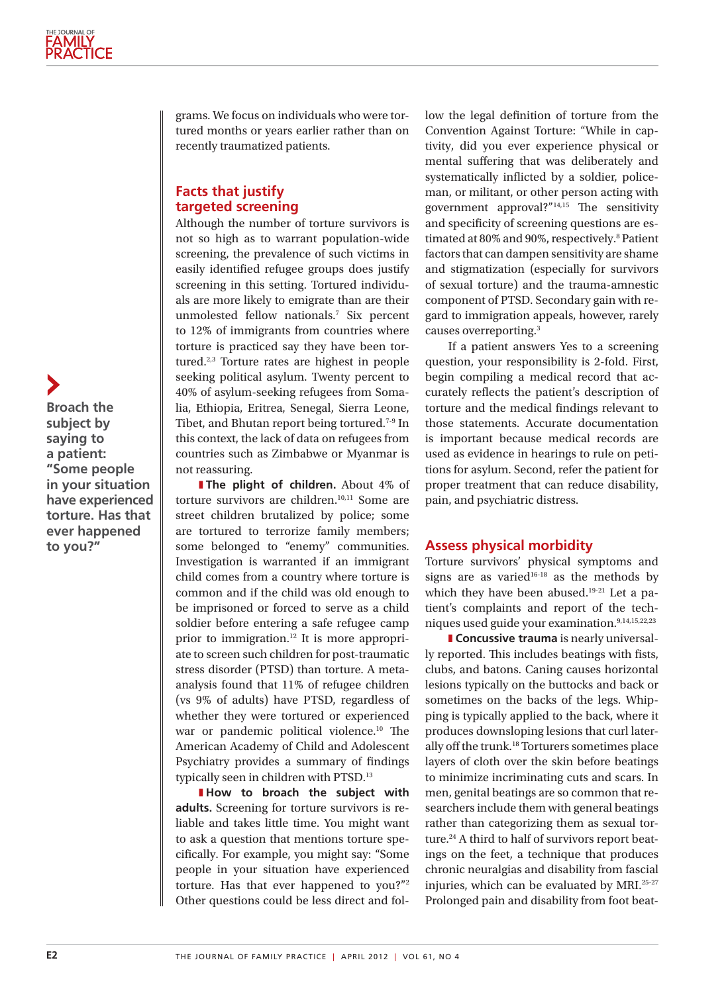**Broach the subject by saying to a patient: "Some people in your situation have experienced torture. Has that ever happened to you?"**

grams. We focus on individuals who were tortured months or years earlier rather than on recently traumatized patients.

# **Facts that justify targeted screening**

Although the number of torture survivors is not so high as to warrant population-wide screening, the prevalence of such victims in easily identified refugee groups does justify screening in this setting. Tortured individuals are more likely to emigrate than are their unmolested fellow nationals.7 Six percent to 12% of immigrants from countries where torture is practiced say they have been tortured.2,3 Torture rates are highest in people seeking political asylum. Twenty percent to 40% of asylum-seeking refugees from Somalia, Ethiopia, Eritrea, Senegal, Sierra Leone, Tibet, and Bhutan report being tortured.7-9 In this context, the lack of data on refugees from countries such as Zimbabwe or Myanmar is not reassuring.

**The plight of children.** About 4% of torture survivors are children.10,11 Some are street children brutalized by police; some are tortured to terrorize family members; some belonged to "enemy" communities. Investigation is warranted if an immigrant child comes from a country where torture is common and if the child was old enough to be imprisoned or forced to serve as a child soldier before entering a safe refugee camp prior to immigration.12 It is more appropriate to screen such children for post-traumatic stress disorder (PTSD) than torture. A metaanalysis found that 11% of refugee children (vs 9% of adults) have PTSD, regardless of whether they were tortured or experienced war or pandemic political violence.10 The American Academy of Child and Adolescent Psychiatry provides a summary of findings typically seen in children with PTSD.13

**How to broach the subject with adults.** Screening for torture survivors is reliable and takes little time. You might want to ask a question that mentions torture specifically. For example, you might say: "Some people in your situation have experienced torture. Has that ever happened to you?"2 Other questions could be less direct and follow the legal definition of torture from the Convention Against Torture: "While in captivity, did you ever experience physical or mental suffering that was deliberately and systematically inflicted by a soldier, policeman, or militant, or other person acting with government approval?"14,15 The sensitivity and specificity of screening questions are estimated at 80% and 90%, respectively.<sup>8</sup> Patient factors that can dampen sensitivity are shame and stigmatization (especially for survivors of sexual torture) and the trauma-amnestic component of PTSD. Secondary gain with regard to immigration appeals, however, rarely causes overreporting.3

If a patient answers Yes to a screening question, your responsibility is 2-fold. First, begin compiling a medical record that accurately reflects the patient's description of torture and the medical findings relevant to those statements. Accurate documentation is important because medical records are used as evidence in hearings to rule on petitions for asylum. Second, refer the patient for proper treatment that can reduce disability, pain, and psychiatric distress.

## **Assess physical morbidity**

Torture survivors' physical symptoms and signs are as varied $16-18$  as the methods by which they have been abused.<sup>19-21</sup> Let a patient's complaints and report of the techniques used guide your examination.9,14,15,22,23

**I** Concussive trauma is nearly universally reported. This includes beatings with fists, clubs, and batons. Caning causes horizontal lesions typically on the buttocks and back or sometimes on the backs of the legs. Whipping is typically applied to the back, where it produces downsloping lesions that curl laterally off the trunk.18 Torturers sometimes place layers of cloth over the skin before beatings to minimize incriminating cuts and scars. In men, genital beatings are so common that researchers include them with general beatings rather than categorizing them as sexual torture.<sup>24</sup> A third to half of survivors report beatings on the feet, a technique that produces chronic neuralgias and disability from fascial injuries, which can be evaluated by MRI.25-27 Prolonged pain and disability from foot beat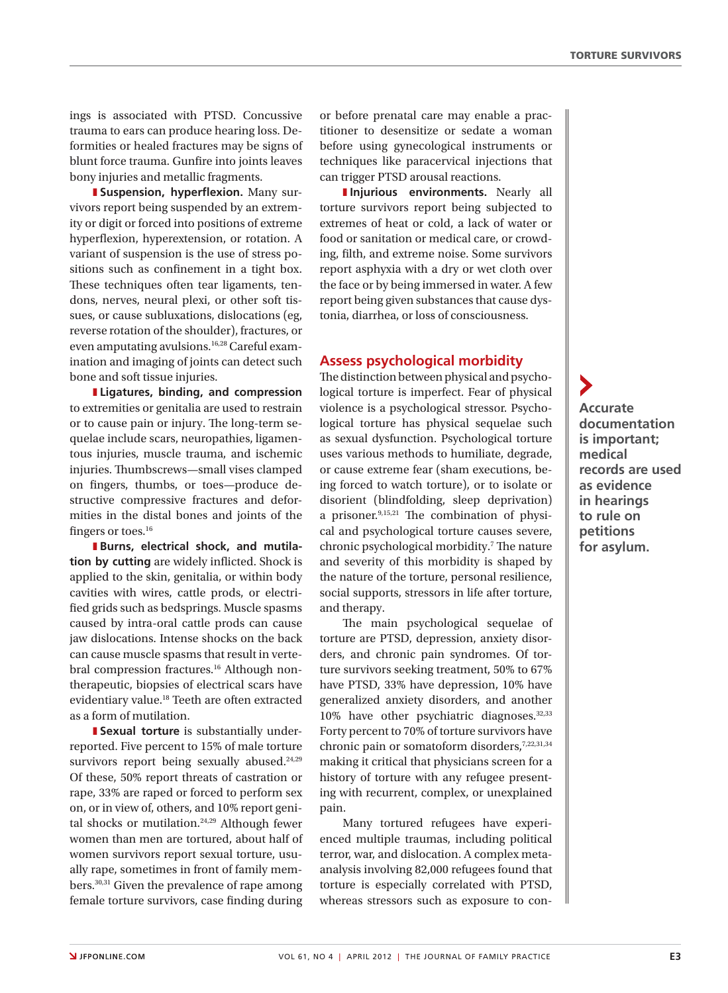ings is associated with PTSD. Concussive trauma to ears can produce hearing loss. Deformities or healed fractures may be signs of blunt force trauma. Gunfire into joints leaves bony injuries and metallic fragments.

**E** Suspension, hyperflexion. Many survivors report being suspended by an extremity or digit or forced into positions of extreme hyperflexion, hyperextension, or rotation. A variant of suspension is the use of stress positions such as confinement in a tight box. These techniques often tear ligaments, tendons, nerves, neural plexi, or other soft tissues, or cause subluxations, dislocations (eg, reverse rotation of the shoulder), fractures, or even amputating avulsions.16,28 Careful examination and imaging of joints can detect such bone and soft tissue injuries.

z **Ligatures, binding, and compression** to extremities or genitalia are used to restrain or to cause pain or injury. The long-term sequelae include scars, neuropathies, ligamentous injuries, muscle trauma, and ischemic injuries. Thumbscrews—small vises clamped on fingers, thumbs, or toes—produce destructive compressive fractures and deformities in the distal bones and joints of the fingers or toes.<sup>16</sup>

**Burns, electrical shock, and mutilation by cutting** are widely inflicted. Shock is applied to the skin, genitalia, or within body cavities with wires, cattle prods, or electrified grids such as bedsprings. Muscle spasms caused by intra-oral cattle prods can cause jaw dislocations. Intense shocks on the back can cause muscle spasms that result in vertebral compression fractures.<sup>16</sup> Although nontherapeutic, biopsies of electrical scars have evidentiary value.18 Teeth are often extracted as a form of mutilation.

**I** Sexual torture is substantially underreported. Five percent to 15% of male torture survivors report being sexually abused.<sup>24,29</sup> Of these, 50% report threats of castration or rape, 33% are raped or forced to perform sex on, or in view of, others, and 10% report genital shocks or mutilation.24,29 Although fewer women than men are tortured, about half of women survivors report sexual torture, usually rape, sometimes in front of family members.30,31 Given the prevalence of rape among female torture survivors, case finding during

or before prenatal care may enable a practitioner to desensitize or sedate a woman before using gynecological instruments or techniques like paracervical injections that can trigger PTSD arousal reactions.

**Injurious environments.** Nearly all torture survivors report being subjected to extremes of heat or cold, a lack of water or food or sanitation or medical care, or crowding, filth, and extreme noise. Some survivors report asphyxia with a dry or wet cloth over the face or by being immersed in water. A few report being given substances that cause dystonia, diarrhea, or loss of consciousness.

### **Assess psychological morbidity**

The distinction between physical and psychological torture is imperfect. Fear of physical violence is a psychological stressor. Psychological torture has physical sequelae such as sexual dysfunction. Psychological torture uses various methods to humiliate, degrade, or cause extreme fear (sham executions, being forced to watch torture), or to isolate or disorient (blindfolding, sleep deprivation) a prisoner.9,15,21 The combination of physical and psychological torture causes severe, chronic psychological morbidity.<sup>7</sup> The nature and severity of this morbidity is shaped by the nature of the torture, personal resilience, social supports, stressors in life after torture, and therapy.

The main psychological sequelae of torture are PTSD, depression, anxiety disorders, and chronic pain syndromes. Of torture survivors seeking treatment, 50% to 67% have PTSD, 33% have depression, 10% have generalized anxiety disorders, and another 10% have other psychiatric diagnoses.<sup>32,33</sup> Forty percent to 70% of torture survivors have chronic pain or somatoform disorders,<sup>7,22,31,34</sup> making it critical that physicians screen for a history of torture with any refugee presenting with recurrent, complex, or unexplained pain.

Many tortured refugees have experienced multiple traumas, including political terror, war, and dislocation. A complex metaanalysis involving 82,000 refugees found that torture is especially correlated with PTSD, whereas stressors such as exposure to con-

**Accurate documentation is important; medical records are used as evidence in hearings to rule on petitions for asylum.**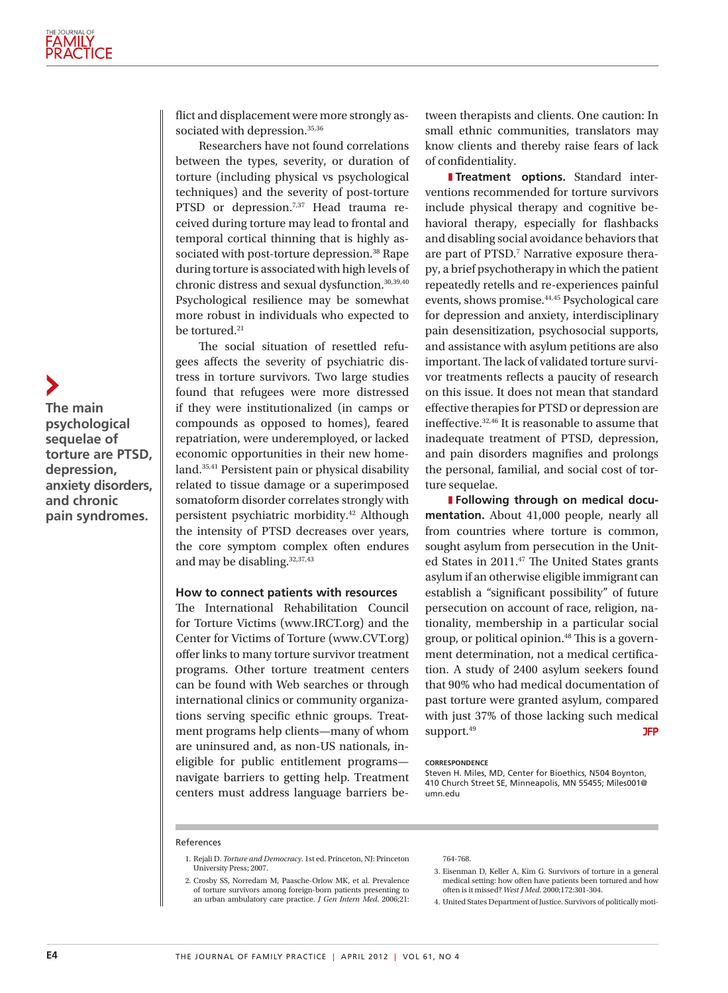flict and displacement were more strongly associated with depression.<sup>35,36</sup>

Researchers have not found correlations between the types, severity, or duration of torture (including physical vs psychological techniques) and the severity of post-torture PTSD or depression.<sup>7,37</sup> Head trauma received during torture may lead to frontal and temporal cortical thinning that is highly associated with post-torture depression.<sup>38</sup> Rape during torture is associated with high levels of chronic distress and sexual dysfunction.30,39,40 Psychological resilience may be somewhat more robust in individuals who expected to be tortured.<sup>21</sup>

The social situation of resettled refugees affects the severity of psychiatric distress in torture survivors. Two large studies found that refugees were more distressed if they were institutionalized (in camps or compounds as opposed to homes), feared repatriation, were underemployed, or lacked economic opportunities in their new homeland.35,41 Persistent pain or physical disability related to tissue damage or a superimposed somatoform disorder correlates strongly with persistent psychiatric morbidity.42 Although the intensity of PTSD decreases over years, the core symptom complex often endures and may be disabling.32,37,43

#### **How to connect patients with resources**

The International Rehabilitation Council for Torture Victims (www.IRCT.org) and the Center for Victims of Torture (www.CVT.org) offer links to many torture survivor treatment programs. Other torture treatment centers can be found with Web searches or through international clinics or community organizations serving specific ethnic groups. Treatment programs help clients—many of whom are uninsured and, as non-US nationals, ineligible for public entitlement programs navigate barriers to getting help. Treatment centers must address language barriers between therapists and clients. One caution: In small ethnic communities, translators may know clients and thereby raise fears of lack of confidentiality.

**I**Treatment options. Standard interventions recommended for torture survivors include physical therapy and cognitive behavioral therapy, especially for flashbacks and disabling social avoidance behaviors that are part of PTSD.7 Narrative exposure therapy, a brief psychotherapy in which the patient repeatedly retells and re-experiences painful events, shows promise.44,45 Psychological care for depression and anxiety, interdisciplinary pain desensitization, psychosocial supports, and assistance with asylum petitions are also important. The lack of validated torture survivor treatments reflects a paucity of research on this issue. It does not mean that standard effective therapies for PTSD or depression are ineffective.  $^{\rm 32,46}$  It is reasonable to assume that inadequate treatment of PTSD, depression, and pain disorders magnifies and prolongs the personal, familial, and social cost of torture sequelae.

**Following through on medical documentation.** About 41,000 people, nearly all from countries where torture is common, sought asylum from persecution in the United States in 2011.47 The United States grants asylum if an otherwise eligible immigrant can establish a "significant possibility" of future persecution on account of race, religion, nationality, membership in a particular social group, or political opinion.48 This is a government determination, not a medical certification. A study of 2400 asylum seekers found that 90% who had medical documentation of past torture were granted asylum, compared with just 37% of those lacking such medical support.<sup>49</sup> **JFP** 

#### **Correspondence**

Steven H. Miles, MD, Center for Bioethics, N504 Boynton, 410 Church Street SE, Minneapolis, MN 55455; Miles001@ umn.edu

#### References

- 1. Rejali D. *Torture and Democracy*. 1st ed. Princeton, NJ: Princeton University Press; 2007.
- 2. Crosby SS, Norredam M, Paasche-Orlow MK, et al. Prevalence of torture survivors among foreign-born patients presenting to an urban ambulatory care practice. *J Gen Intern Med*. 2006;21:

#### 764-768.

- 3. Eisenman D, Keller A, Kim G. Survivors of torture in a general medical setting: how often have patients been tortured and how often is it missed? *West J Med*. 2000;172:301-304.
- 4. United States Department of Justice. Survivors of politically moti-

**The main psychological sequelae of torture are PTSD, depression, anxiety disorders, and chronic pain syndromes.**